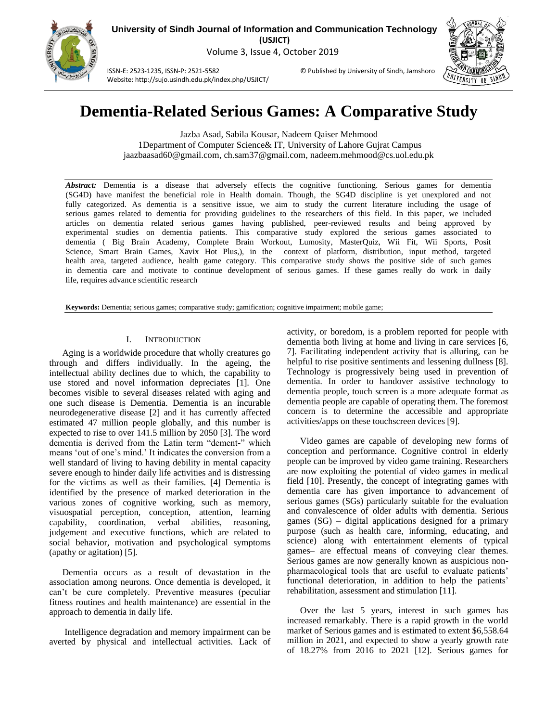

**University of Sindh Journal of Information and Communication Technology (USJICT)** Volume 3, Issue 4, October 2019

ISSN-E: 2523-1235, ISSN-P: 2521-5582 © Published by University of Sindh, Jamshoro Website: http://sujo.usindh.edu.pk/index.php/USJICT/



# **Dementia-Related Serious Games: A Comparative Study**

Jazba Asad, Sabila Kousar, Nadeem Qaiser Mehmood 1Department of Computer Science& IT, University of Lahore Gujrat Campus jaazbaasad60@gmail.com, ch.sam37@gmail.com, nadeem.mehmood@cs.uol.edu.pk

*Abstract:* Dementia is a disease that adversely effects the cognitive functioning. Serious games for dementia (SG4D) have manifest the beneficial role in Health domain. Though, the SG4D discipline is yet unexplored and not fully categorized. As dementia is a sensitive issue, we aim to study the current literature including the usage of serious games related to dementia for providing guidelines to the researchers of this field. In this paper, we included articles on dementia related serious games having published, peer-reviewed results and being approved by experimental studies on dementia patients. This comparative study explored the serious games associated to dementia ( Big Brain Academy, Complete Brain Workout, Lumosity, MasterQuiz, Wii Fit, Wii Sports, Posit Science, Smart Brain Games, Xavix Hot Plus,), in the context of platform, distribution, input method, targeted health area, targeted audience, health game category. This comparative study shows the positive side of such games in dementia care and motivate to continue development of serious games. If these games really do work in daily life, requires advance scientific research

**Keywords:** Dementia; serious games; comparative study; gamification; cognitive impairment; mobile game;

#### I. INTRODUCTION

Aging is a worldwide procedure that wholly creatures go through and differs individually. In the ageing, the intellectual ability declines due to which, the capability to use stored and novel information depreciates [1]. One becomes visible to several diseases related with aging and one such disease is Dementia. Dementia is an incurable neurodegenerative disease [2] and it has currently affected estimated 47 million people globally, and this number is expected to rise to over 141.5 million by 2050 [3]. The word dementia is derived from the Latin term "dement-" which means 'out of one's mind.' It indicates the conversion from a well standard of living to having debility in mental capacity severe enough to hinder daily life activities and is distressing for the victims as well as their families. [4] Dementia is identified by the presence of marked deterioration in the various zones of cognitive working, such as memory, visuospatial perception, conception, attention, learning capability, coordination, verbal abilities, reasoning, judgement and executive functions, which are related to social behavior, motivation and psychological symptoms (apathy or agitation) [5].

Dementia occurs as a result of devastation in the association among neurons. Once dementia is developed, it can't be cure completely. Preventive measures (peculiar fitness routines and health maintenance) are essential in the approach to dementia in daily life.

Intelligence degradation and memory impairment can be averted by physical and intellectual activities. Lack of activity, or boredom, is a problem reported for people with dementia both living at home and living in care services [6, 7]. Facilitating independent activity that is alluring, can be helpful to rise positive sentiments and lessening dullness [8]. Technology is progressively being used in prevention of dementia. In order to handover assistive technology to dementia people, touch screen is a more adequate format as dementia people are capable of operating them. The foremost concern is to determine the accessible and appropriate activities/apps on these touchscreen devices [9].

Video games are capable of developing new forms of conception and performance. Cognitive control in elderly people can be improved by video game training. Researchers are now exploiting the potential of video games in medical field [10]. Presently, the concept of integrating games with dementia care has given importance to advancement of serious games (SGs) particularly suitable for the evaluation and convalescence of older adults with dementia. Serious games (SG) – digital applications designed for a primary purpose (such as health care, informing, educating, and science) along with entertainment elements of typical games– are effectual means of conveying clear themes. Serious games are now generally known as auspicious nonpharmacological tools that are useful to evaluate patients' functional deterioration, in addition to help the patients' rehabilitation, assessment and stimulation [11].

Over the last 5 years, interest in such games has increased remarkably. There is a rapid growth in the world market of Serious games and is estimated to extent \$6,558.64 million in 2021, and expected to show a yearly growth rate of 18.27% from 2016 to 2021 [12]. Serious games for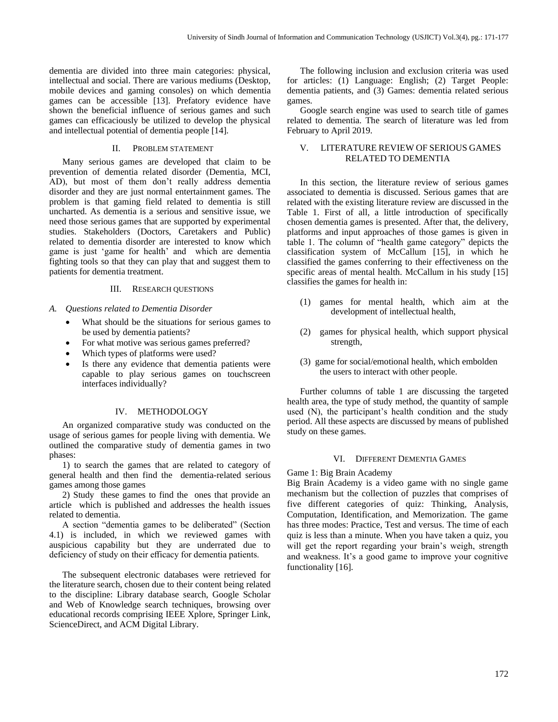dementia are divided into three main categories: physical, intellectual and social. There are various mediums (Desktop, mobile devices and gaming consoles) on which dementia games can be accessible [13]. Prefatory evidence have shown the beneficial influence of serious games and such games can efficaciously be utilized to develop the physical and intellectual potential of dementia people [14].

#### II. PROBLEM STATEMENT

Many serious games are developed that claim to be prevention of dementia related disorder (Dementia, MCI, AD), but most of them don't really address dementia disorder and they are just normal entertainment games. The problem is that gaming field related to dementia is still uncharted. As dementia is a serious and sensitive issue, we need those serious games that are supported by experimental studies. Stakeholders (Doctors, Caretakers and Public) related to dementia disorder are interested to know which game is just 'game for health' and which are dementia fighting tools so that they can play that and suggest them to patients for dementia treatment.

# III. RESEARCH QUESTIONS

*A. Questions related to Dementia Disorder*

- What should be the situations for serious games to be used by dementia patients?
- For what motive was serious games preferred?
- Which types of platforms were used?
- Is there any evidence that dementia patients were capable to play serious games on touchscreen interfaces individually?

# IV. METHODOLOGY

An organized comparative study was conducted on the usage of serious games for people living with dementia. We outlined the comparative study of dementia games in two phases:

1) to search the games that are related to category of general health and then find the dementia-related serious games among those games

2) Study these games to find the ones that provide an article which is published and addresses the health issues related to dementia.

A section "dementia games to be deliberated" (Section 4.1) is included, in which we reviewed games with auspicious capability but they are underrated due to deficiency of study on their efficacy for dementia patients.

The subsequent electronic databases were retrieved for the literature search, chosen due to their content being related to the discipline: Library database search, Google Scholar and Web of Knowledge search techniques, browsing over educational records comprising IEEE Xplore, Springer Link, ScienceDirect, and ACM Digital Library.

The following inclusion and exclusion criteria was used for articles: (1) Language: English; (2) Target People: dementia patients, and (3) Games: dementia related serious games.

Google search engine was used to search title of games related to dementia. The search of literature was led from February to April 2019.

# V. LITERATURE REVIEW OF SERIOUS GAMES RELATED TO DEMENTIA

In this section, the literature review of serious games associated to dementia is discussed. Serious games that are related with the existing literature review are discussed in the Table 1. First of all, a little introduction of specifically chosen dementia games is presented. After that, the delivery, platforms and input approaches of those games is given in table 1. The column of "health game category" depicts the classification system of McCallum [15], in which he classified the games conferring to their effectiveness on the specific areas of mental health. McCallum in his study [15] classifies the games for health in:

- (1) games for mental health, which aim at the development of intellectual health,
- (2) games for physical health, which support physical strength,
- (3) game for social/emotional health, which embolden the users to interact with other people.

Further columns of table 1 are discussing the targeted health area, the type of study method, the quantity of sample used (N), the participant's health condition and the study period. All these aspects are discussed by means of published study on these games.

# VI. DIFFERENT DEMENTIA GAMES

Game 1: Big Brain Academy

Big Brain Academy is a video game with no single game mechanism but the collection of puzzles that comprises of five different categories of quiz: Thinking, Analysis, Computation, Identification, and Memorization. The game has three modes: Practice, Test and versus. The time of each quiz is less than a minute. When you have taken a quiz, you will get the report regarding your brain's weigh, strength and weakness. It's a good game to improve your cognitive functionality [16].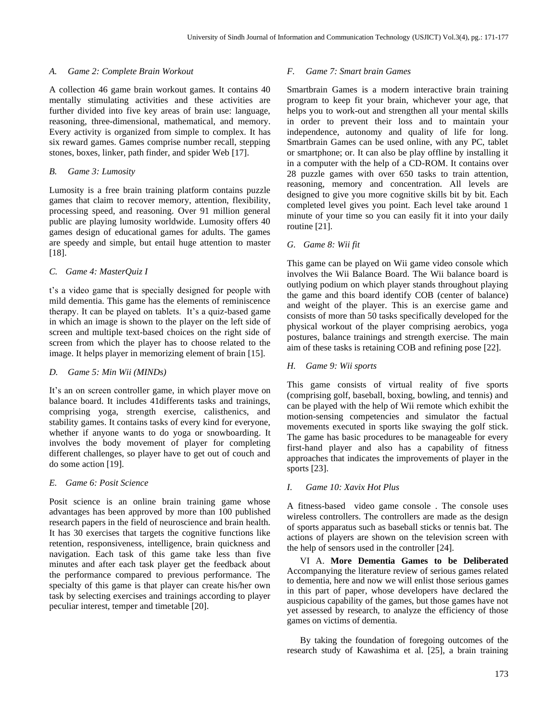# *A. Game 2: Complete Brain Workout*

A collection 46 game brain workout games. It contains 40 mentally stimulating activities and these activities are further divided into five key areas of brain use: language, reasoning, three-dimensional, mathematical, and memory. Every activity is organized from simple to complex. It has six reward games. Games comprise number recall, stepping stones, boxes, linker, path finder, and spider Web [17].

## *B. Game 3: Lumosity*

Lumosity is a free brain training platform contains puzzle games that claim to recover memory, attention, flexibility, processing speed, and reasoning. Over 91 million general public are playing lumosity worldwide. Lumosity offers 40 games design of educational games for adults. The games are speedy and simple, but entail huge attention to master [18].

#### *C. Game 4: MasterQuiz I*

t's a video game that is specially designed for people with mild dementia. This game has the elements of reminiscence therapy. It can be played on tablets. It's a quiz-based game in which an image is shown to the player on the left side of screen and multiple text-based choices on the right side of screen from which the player has to choose related to the image. It helps player in memorizing element of brain [15].

# *D. Game 5: Min Wii (MINDs)*

It's an on screen controller game, in which player move on balance board. It includes 41differents tasks and trainings, comprising yoga, strength exercise, calisthenics, and stability games. It contains tasks of every kind for everyone, whether if anyone wants to do yoga or snowboarding. It involves the body movement of player for completing different challenges, so player have to get out of couch and do some action [19].

# *E. Game 6: Posit Science*

Posit science is an online brain training game whose advantages has been approved by more than 100 published research papers in the field of neuroscience and brain health. It has 30 exercises that targets the cognitive functions like retention, responsiveness, intelligence, brain quickness and navigation. Each task of this game take less than five minutes and after each task player get the feedback about the performance compared to previous performance. The specialty of this game is that player can create his/her own task by selecting exercises and trainings according to player peculiar interest, temper and timetable [20].

#### *F. Game 7: Smart brain Games*

Smartbrain Games is a modern interactive brain training program to keep fit your brain, whichever your age, that helps you to work-out and strengthen all your mental skills in order to prevent their loss and to maintain your independence, autonomy and quality of life for long. Smartbrain Games can be used online, with any PC, tablet or smartphone; or. It can also be play offline by installing it in a computer with the help of a CD-ROM. It contains over 28 puzzle games with over 650 tasks to train attention, reasoning, memory and concentration. All levels are designed to give you more cognitive skills bit by bit. Each completed level gives you point. Each level take around 1 minute of your time so you can easily fit it into your daily routine [21].

#### *G. Game 8: Wii fit*

This game can be played on Wii game video console which involves the Wii Balance Board. The Wii balance board is outlying podium on which player stands throughout playing the game and this board identify COB (center of balance) and weight of the player. This is an exercise game and consists of more than 50 tasks specifically developed for the physical workout of the player comprising aerobics, yoga postures, balance trainings and strength exercise. The main aim of these tasks is retaining COB and refining pose [22].

# *H. Game 9: Wii sports*

This game consists of virtual reality of five sports (comprising golf, baseball, boxing, bowling, and tennis) and can be played with the help of Wii remote which exhibit the motion-sensing competencies and simulator the factual movements executed in sports like swaying the golf stick. The game has basic procedures to be manageable for every first-hand player and also has a capability of fitness approaches that indicates the improvements of player in the sports [23].

# *I. Game 10: Xavix Hot Plus*

A fitness-based video game console . The console uses wireless controllers. The controllers are made as the design of sports apparatus such as baseball sticks or tennis bat. The actions of players are shown on the television screen with the help of sensors used in the controller [24].

VI A. **More Dementia Games to be Deliberated**  Accompanying the literature review of serious games related to dementia, here and now we will enlist those serious games in this part of paper, whose developers have declared the auspicious capability of the games, but those games have not yet assessed by research, to analyze the efficiency of those games on victims of dementia.

By taking the foundation of foregoing outcomes of the research study of Kawashima et al. [25], a brain training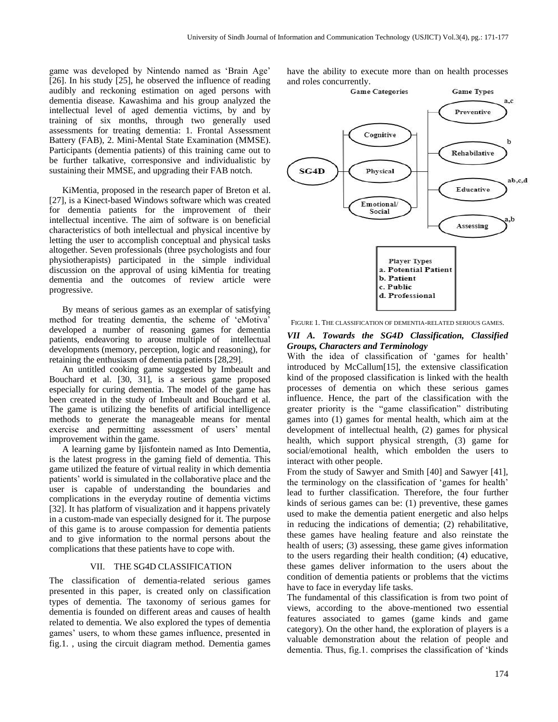game was developed by Nintendo named as 'Brain Age' [26]. In his study [25], he observed the influence of reading audibly and reckoning estimation on aged persons with dementia disease. Kawashima and his group analyzed the intellectual level of aged dementia victims, by and by training of six months, through two generally used assessments for treating dementia: 1. Frontal Assessment Battery (FAB), 2. Mini-Mental State Examination (MMSE). Participants (dementia patients) of this training came out to be further talkative, corresponsive and individualistic by sustaining their MMSE, and upgrading their FAB notch.

KiMentia, proposed in the research paper of Breton et al. [27], is a Kinect-based Windows software which was created for dementia patients for the improvement of their intellectual incentive. The aim of software is on beneficial characteristics of both intellectual and physical incentive by letting the user to accomplish conceptual and physical tasks altogether. Seven professionals (three psychologists and four physiotherapists) participated in the simple individual discussion on the approval of using kiMentia for treating dementia and the outcomes of review article were progressive.

By means of serious games as an exemplar of satisfying method for treating dementia, the scheme of 'eMotiva' developed a number of reasoning games for dementia patients, endeavoring to arouse multiple of intellectual developments (memory, perception, logic and reasoning), for retaining the enthusiasm of dementia patients [28,29].

An untitled cooking game suggested by Imbeault and Bouchard et al. [30, 31], is a serious game proposed especially for curing dementia. The model of the game has been created in the study of Imbeault and Bouchard et al. The game is utilizing the benefits of artificial intelligence methods to generate the manageable means for mental exercise and permitting assessment of users' mental improvement within the game.

A learning game by Ijisfontein named as Into Dementia, is the latest progress in the gaming field of dementia. This game utilized the feature of virtual reality in which dementia patients' world is simulated in the collaborative place and the user is capable of understanding the boundaries and complications in the everyday routine of dementia victims [32]. It has platform of visualization and it happens privately in a custom-made van especially designed for it. The purpose of this game is to arouse compassion for dementia patients and to give information to the normal persons about the complications that these patients have to cope with.

# VII. THE SG4D CLASSIFICATION

The classification of dementia-related serious games presented in this paper, is created only on classification types of dementia. The taxonomy of serious games for dementia is founded on different areas and causes of health related to dementia. We also explored the types of dementia games' users, to whom these games influence, presented in fig.1. , using the circuit diagram method. Dementia games

have the ability to execute more than on health processes



FIGURE 1. THE CLASSIFICATION OF DEMENTIA-RELATED SERIOUS GAMES.

# *VII A. Towards the SG4D Classification, Classified Groups, Characters and Terminology*

With the idea of classification of 'games for health' introduced by McCallum[15], the extensive classification kind of the proposed classification is linked with the health processes of dementia on which these serious games influence. Hence, the part of the classification with the greater priority is the "game classification" distributing games into (1) games for mental health, which aim at the development of intellectual health, (2) games for physical health, which support physical strength, (3) game for social/emotional health, which embolden the users to interact with other people.

From the study of Sawyer and Smith [40] and Sawyer [41], the terminology on the classification of 'games for health' lead to further classification. Therefore, the four further kinds of serious games can be: (1) preventive, these games used to make the dementia patient energetic and also helps in reducing the indications of dementia; (2) rehabilitative, these games have healing feature and also reinstate the health of users; (3) assessing, these game gives information to the users regarding their health condition; (4) educative, these games deliver information to the users about the condition of dementia patients or problems that the victims have to face in everyday life tasks.

The fundamental of this classification is from two point of views, according to the above-mentioned two essential features associated to games (game kinds and game category). On the other hand, the exploration of players is a valuable demonstration about the relation of people and dementia. Thus, fig.1. comprises the classification of 'kinds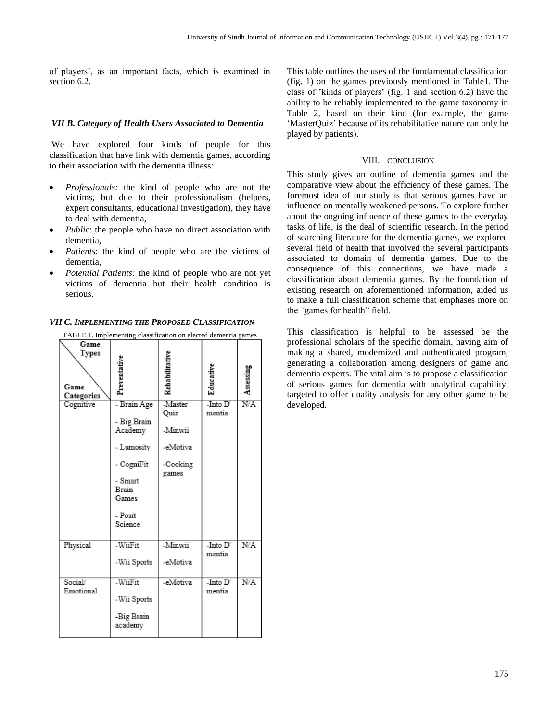of players', as an important facts, which is examined in section 6.2.

# *VII B. Category of Health Users Associated to Dementia*

We have explored four kinds of people for this classification that have link with dementia games, according to their association with the dementia illness:

- *Professionals:* the kind of people who are not the victims, but due to their professionalism (helpers, expert consultants, educational investigation), they have to deal with dementia,
- *Public*: the people who have no direct association with dementia,
- Patients: the kind of people who are the victims of dementia,
- *Potential Patients:* the kind of people who are not yet victims of dementia but their health condition is serious.

| TABLE 1. Implementing classification on elected dementia games |                                                                                                                      |                                                            |                    |           |  |  |  |
|----------------------------------------------------------------|----------------------------------------------------------------------------------------------------------------------|------------------------------------------------------------|--------------------|-----------|--|--|--|
| Game<br><b>Types</b><br>Game<br>Categories                     | Preventative                                                                                                         | Rehabilitativ                                              | Educativ           | Assessing |  |  |  |
| Cognitive                                                      | - Brain Age<br>- Big Brain<br>Academy<br>- Lumosity<br>- CogniFit<br>- Smart<br>Brain<br>Games<br>- Posit<br>Science | -Master<br>Quiz<br>Minwii<br>-eMotiva<br>-Cooking<br>games | -Into D'<br>mentia | N/A       |  |  |  |
| Physical                                                       | -WiiFit<br>-Wii Sports                                                                                               | -Minwii<br>-eMotiva                                        | -Into D'<br>mentia | N/A       |  |  |  |
| Social/<br>Emotional                                           | -WiiFit<br>-Wii Sports<br>-Big Brain<br>academy                                                                      | -eMotiva                                                   | -Into D'<br>mentia | N/A       |  |  |  |

# *VII C. IMPLEMENTING THE PROPOSED CLASSIFICATION*

This table outlines the uses of the fundamental classification (fig. 1) on the games previously mentioned in Table1. The class of 'kinds of players' (fig. 1 and section 6.2) have the ability to be reliably implemented to the game taxonomy in Table 2, based on their kind (for example, the game 'MasterQuiz' because of its rehabilitative nature can only be played by patients).

# VIII. CONCLUSION

This study gives an outline of dementia games and the comparative view about the efficiency of these games. The foremost idea of our study is that serious games have an influence on mentally weakened persons. To explore further about the ongoing influence of these games to the everyday tasks of life, is the deal of scientific research. In the period of searching literature for the dementia games, we explored several field of health that involved the several participants associated to domain of dementia games. Due to the consequence of this connections, we have made a classification about dementia games. By the foundation of existing research on aforementioned information, aided us to make a full classification scheme that emphases more on the "games for health" field.

This classification is helpful to be assessed be the professional scholars of the specific domain, having aim of making a shared, modernized and authenticated program, generating a collaboration among designers of game and dementia experts. The vital aim is to propose a classification of serious games for dementia with analytical capability, targeted to offer quality analysis for any other game to be developed.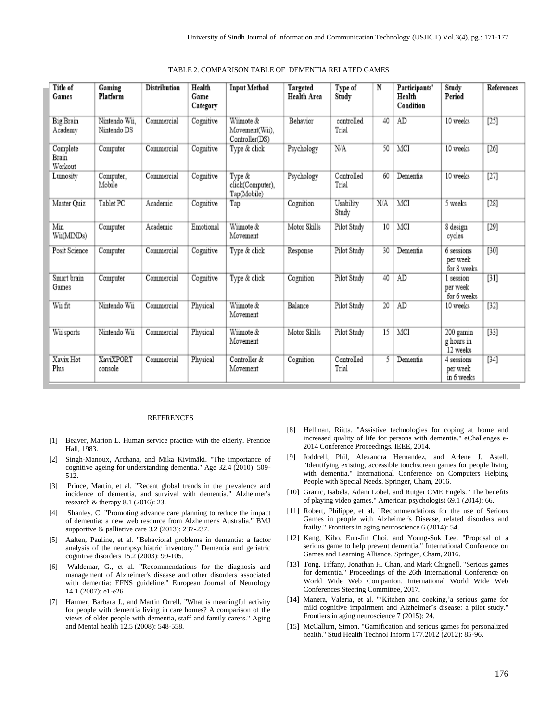| Title of<br>Games            | Gaming<br>Platform           | <b>Distribution</b> | Health<br>Game<br>Category | <b>Input Method</b>                           | Targeted<br><b>Health Area</b> | Type of<br>Study    | N               | Participants'<br>Health<br>Condition | Study<br>Period                       | References |
|------------------------------|------------------------------|---------------------|----------------------------|-----------------------------------------------|--------------------------------|---------------------|-----------------|--------------------------------------|---------------------------------------|------------|
| <b>Big Brain</b><br>Academy  | Nintendo Wii.<br>Nintendo DS | Commercial          | Cognitive                  | Wiimote &<br>Movement(Wii),<br>Controller(DS) | Behavior                       | controlled<br>Trial | 40              | AD                                   | 10 weeks                              | [25]       |
| Complete<br>Brain<br>Workout | Computer                     | Commercial          | Cognitive                  | Type & click                                  | Psychology                     | NA                  | 50              | MCI                                  | 10 weeks                              | $[26]$     |
| Lumosity                     | Computer,<br>Mobile          | Commercial          | Cognitive                  | Type &<br>click(Computer),<br>Tap(Mobile)     | Psychology                     | Controlled<br>Trial | 60              | Dementia                             | 10 weeks                              | $[27]$     |
| Master Quiz                  | Tablet PC                    | Academic            | Cognitive                  | Tap                                           | Cognition                      | Usability<br>Study  | N/A             | MCI                                  | 5 weeks                               | $[28]$     |
| Min<br>Wii(MINDs)            | Computer                     | Academic            | Emotional                  | Wiimote &<br>Movement                         | Motor Skills                   | Pilot Study         | 10              | MCI                                  | 8 design<br>cycles                    | $[29]$     |
| Posit Science                | Computer                     | Commercial          | Cognitive                  | Type & click                                  | Response                       | Pilot Study         | 30              | Dementia                             | 6 sessions<br>per week<br>for 8 weeks | $[30]$     |
| Smart brain<br>Games         | Computer                     | Commercial          | Cognitive                  | Type & click                                  | Cognition                      | Pilot Study         | 40              | AD                                   | 1 session<br>per week<br>for 6 weeks  | $[31]$     |
| Wii fit                      | Nintendo Wii                 | Commercial          | Physical                   | Wiimote &<br>Movement                         | Balance                        | Pilot Study         | $\overline{20}$ | AD                                   | 10 weeks                              | $[32]$     |
| Wii sports                   | Nintendo Wii                 | Commercial          | Physical                   | Wiimote &<br>Movement                         | Motor Skills                   | Pilot Study         | 15              | MCI                                  | 200 gamin<br>g hours in<br>12 weeks   | $[33]$     |
| Xavix Hot<br>Plus            | <b>XaviXPORT</b><br>console  | Commercial          | Physical                   | Controller &<br>Movement                      | Cognition                      | Controlled<br>Trial | 5               | Dementia                             | 4 sessions<br>per week<br>in 6 weeks  | $[34]$     |

|  | TABLE 2. COMPARISON TABLE OF DEMENTIA RELATED GAMES |  |  |  |  |
|--|-----------------------------------------------------|--|--|--|--|
|--|-----------------------------------------------------|--|--|--|--|

#### REFERENCES

- [1] Beaver, Marion L. Human service practice with the elderly. Prentice Hall, 1983.
- [2] Singh-Manoux, Archana, and Mika Kivimäki. "The importance of cognitive ageing for understanding dementia." Age 32.4 (2010): 509- 512.
- [3] Prince, Martin, et al. "Recent global trends in the prevalence and incidence of dementia, and survival with dementia." Alzheimer's research & therapy 8.1 (2016): 23.
- [4] Shanley, C. "Promoting advance care planning to reduce the impact of dementia: a new web resource from Alzheimer's Australia." BMJ supportive & palliative care 3.2 (2013): 237-237.
- [5] Aalten, Pauline, et al. "Behavioral problems in dementia: a factor analysis of the neuropsychiatric inventory." Dementia and geriatric cognitive disorders 15.2 (2003): 99-105.
- [6] Waldemar, G., et al. "Recommendations for the diagnosis and management of Alzheimer's disease and other disorders associated with dementia: EFNS guideline." European Journal of Neurology 14.1 (2007): e1-e26
- [7] Harmer, Barbara J., and Martin Orrell. "What is meaningful activity for people with dementia living in care homes? A comparison of the views of older people with dementia, staff and family carers." Aging and Mental health 12.5 (2008): 548-558.
- [8] Hellman, Riitta. "Assistive technologies for coping at home and increased quality of life for persons with dementia." eChallenges e-2014 Conference Proceedings. IEEE, 2014.
- [9] Joddrell, Phil, Alexandra Hernandez, and Arlene J. Astell. "Identifying existing, accessible touchscreen games for people living with dementia." International Conference on Computers Helping People with Special Needs. Springer, Cham, 2016.
- [10] Granic, Isabela, Adam Lobel, and Rutger CME Engels. "The benefits of playing video games." American psychologist 69.1 (2014): 66.
- [11] Robert, Philippe, et al. "Recommendations for the use of Serious Games in people with Alzheimer's Disease, related disorders and frailty." Frontiers in aging neuroscience 6 (2014): 54.
- [12] Kang, Kiho, Eun-Jin Choi, and Young-Suk Lee. "Proposal of a serious game to help prevent dementia." International Conference on Games and Learning Alliance. Springer, Cham, 2016.
- [13] Tong, Tiffany, Jonathan H. Chan, and Mark Chignell. "Serious games for dementia." Proceedings of the 26th International Conference on World Wide Web Companion. International World Wide Web Conferences Steering Committee, 2017.
- [14] Manera, Valeria, et al. "'Kitchen and cooking,'a serious game for mild cognitive impairment and Alzheimer's disease: a pilot study." Frontiers in aging neuroscience 7 (2015): 24.
- [15] McCallum, Simon. "Gamification and serious games for personalized health." Stud Health Technol Inform 177.2012 (2012): 85-96.